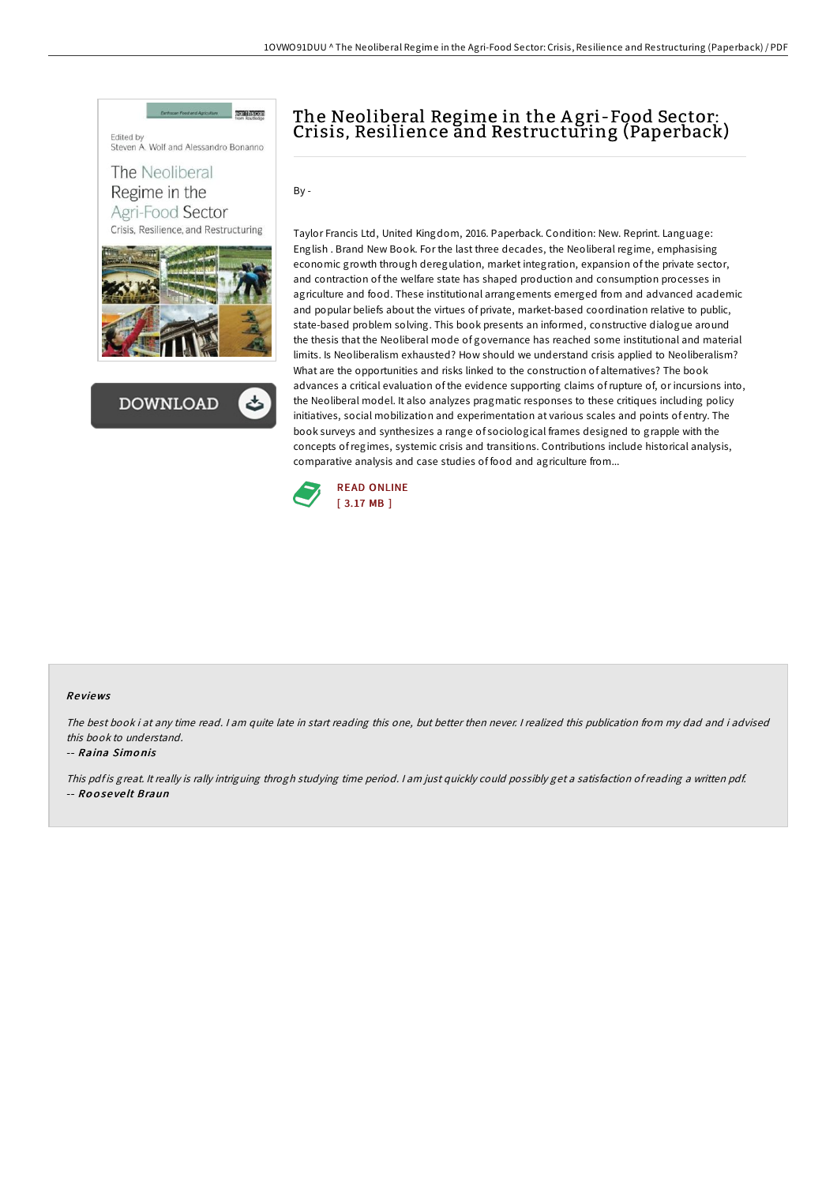



## The Neoliberal Regime in the A gri-Food Sector: Crisis, Resilience and Restructuring (Paperback)

By -

Taylor Francis Ltd, United Kingdom, 2016. Paperback. Condition: New. Reprint. Language: English . Brand New Book. For the last three decades, the Neoliberal regime, emphasising economic growth through deregulation, market integration, expansion of the private sector, and contraction of the welfare state has shaped production and consumption processes in agriculture and food. These institutional arrangements emerged from and advanced academic and popular beliefs about the virtues of private, market-based coordination relative to public, state-based problem solving. This book presents an informed, constructive dialogue around the thesis that the Neoliberal mode of governance has reached some institutional and material limits. Is Neoliberalism exhausted? How should we understand crisis applied to Neoliberalism? What are the opportunities and risks linked to the construction of alternatives? The book advances a critical evaluation of the evidence supporting claims ofrupture of, or incursions into, the Neoliberal model. It also analyzes pragmatic responses to these critiques including policy initiatives, social mobilization and experimentation at various scales and points of entry. The book surveys and synthesizes a range of sociological frames designed to grapple with the concepts ofregimes, systemic crisis and transitions. Contributions include historical analysis, comparative analysis and case studies of food and agriculture from...



## Re views

The best book i at any time read. <sup>I</sup> am quite late in start reading this one, but better then never. <sup>I</sup> realized this publication from my dad and i advised this book to understand.

## -- Raina Simo nis

This pdf is great. It really is rally intriguing throgh studying time period. I am just quickly could possibly get a satisfaction of reading a written pdf. -- Ro o se ve lt Braun